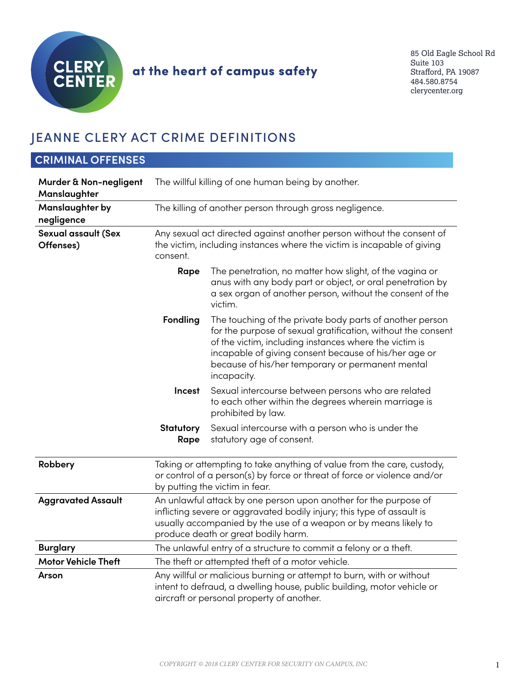

# at the heart of campus safety

85 Old Eagle School Rd Suite 103 Strafford, PA 19087 484.580.8754 clerycenter.org

## JEANNE CLERY ACT CRIME DEFINITIONS

| <b>CRIMINAL OFFENSES</b>                |                                                                                                                                                                                                                                                       |                                                                                                                                                                                                                                                                                                                |
|-----------------------------------------|-------------------------------------------------------------------------------------------------------------------------------------------------------------------------------------------------------------------------------------------------------|----------------------------------------------------------------------------------------------------------------------------------------------------------------------------------------------------------------------------------------------------------------------------------------------------------------|
| Murder & Non-negligent<br>Manslaughter  |                                                                                                                                                                                                                                                       | The willful killing of one human being by another.                                                                                                                                                                                                                                                             |
| Manslaughter by<br>negligence           |                                                                                                                                                                                                                                                       | The killing of another person through gross negligence.                                                                                                                                                                                                                                                        |
| <b>Sexual assault (Sex</b><br>Offenses) | Any sexual act directed against another person without the consent of<br>the victim, including instances where the victim is incapable of giving<br>consent.                                                                                          |                                                                                                                                                                                                                                                                                                                |
|                                         | Rape                                                                                                                                                                                                                                                  | The penetration, no matter how slight, of the vagina or<br>anus with any body part or object, or oral penetration by<br>a sex organ of another person, without the consent of the<br>victim.                                                                                                                   |
|                                         | <b>Fondling</b>                                                                                                                                                                                                                                       | The touching of the private body parts of another person<br>for the purpose of sexual gratification, without the consent<br>of the victim, including instances where the victim is<br>incapable of giving consent because of his/her age or<br>because of his/her temporary or permanent mental<br>incapacity. |
|                                         | Incest                                                                                                                                                                                                                                                | Sexual intercourse between persons who are related<br>to each other within the degrees wherein marriage is<br>prohibited by law.                                                                                                                                                                               |
|                                         | <b>Statutory</b><br>Rape                                                                                                                                                                                                                              | Sexual intercourse with a person who is under the<br>statutory age of consent.                                                                                                                                                                                                                                 |
| Robbery                                 |                                                                                                                                                                                                                                                       | Taking or attempting to take anything of value from the care, custody,<br>or control of a person(s) by force or threat of force or violence and/or<br>by putting the victim in fear.                                                                                                                           |
| <b>Aggravated Assault</b>               | An unlawful attack by one person upon another for the purpose of<br>inflicting severe or aggravated bodily injury; this type of assault is<br>usually accompanied by the use of a weapon or by means likely to<br>produce death or great bodily harm. |                                                                                                                                                                                                                                                                                                                |
| <b>Burglary</b>                         |                                                                                                                                                                                                                                                       | The unlawful entry of a structure to commit a felony or a theft.                                                                                                                                                                                                                                               |
| <b>Motor Vehicle Theft</b>              |                                                                                                                                                                                                                                                       | The theft or attempted theft of a motor vehicle.                                                                                                                                                                                                                                                               |
| Arson                                   |                                                                                                                                                                                                                                                       | Any willful or malicious burning or attempt to burn, with or without<br>intent to defraud, a dwelling house, public building, motor vehicle or<br>aircraft or personal property of another.                                                                                                                    |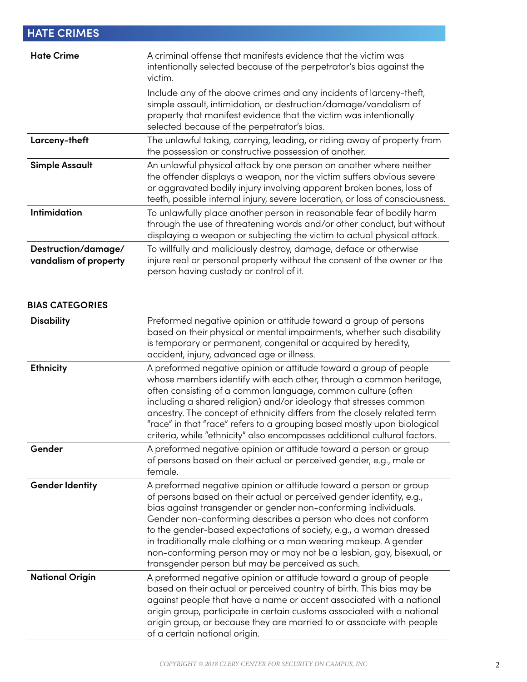| <b>HATE CRIMES</b>                           |                                                                                                                                                                                                                                                                                                                                                                                                                                                                                                                                                    |
|----------------------------------------------|----------------------------------------------------------------------------------------------------------------------------------------------------------------------------------------------------------------------------------------------------------------------------------------------------------------------------------------------------------------------------------------------------------------------------------------------------------------------------------------------------------------------------------------------------|
| <b>Hate Crime</b>                            | A criminal offense that manifests evidence that the victim was<br>intentionally selected because of the perpetrator's bias against the<br>victim.                                                                                                                                                                                                                                                                                                                                                                                                  |
|                                              | Include any of the above crimes and any incidents of larceny-theft,<br>simple assault, intimidation, or destruction/damage/vandalism of<br>property that manifest evidence that the victim was intentionally<br>selected because of the perpetrator's bias.                                                                                                                                                                                                                                                                                        |
| Larceny-theft                                | The unlawful taking, carrying, leading, or riding away of property from<br>the possession or constructive possession of another.                                                                                                                                                                                                                                                                                                                                                                                                                   |
| <b>Simple Assault</b>                        | An unlawful physical attack by one person on another where neither<br>the offender displays a weapon, nor the victim suffers obvious severe<br>or aggravated bodily injury involving apparent broken bones, loss of<br>teeth, possible internal injury, severe laceration, or loss of consciousness.                                                                                                                                                                                                                                               |
| Intimidation                                 | To unlawfully place another person in reasonable fear of bodily harm<br>through the use of threatening words and/or other conduct, but without<br>displaying a weapon or subjecting the victim to actual physical attack.                                                                                                                                                                                                                                                                                                                          |
| Destruction/damage/<br>vandalism of property | To willfully and maliciously destroy, damage, deface or otherwise<br>injure real or personal property without the consent of the owner or the<br>person having custody or control of it.                                                                                                                                                                                                                                                                                                                                                           |
| <b>BIAS CATEGORIES</b>                       |                                                                                                                                                                                                                                                                                                                                                                                                                                                                                                                                                    |
| <b>Disability</b>                            | Preformed negative opinion or attitude toward a group of persons<br>based on their physical or mental impairments, whether such disability<br>is temporary or permanent, congenital or acquired by heredity,<br>accident, injury, advanced age or illness.                                                                                                                                                                                                                                                                                         |
| <b>Ethnicity</b>                             | A preformed negative opinion or attitude toward a group of people<br>whose members identify with each other, through a common heritage,<br>often consisting of a common language, common culture (often<br>including a shared religion) and/or ideology that stresses common<br>ancestry. The concept of ethnicity differs from the closely related term<br>"race" in that "race" refers to a grouping based mostly upon biological<br>criteria, while "ethnicity" also encompasses additional cultural factors.                                   |
| Gender                                       | A preformed negative opinion or attitude toward a person or group<br>of persons based on their actual or perceived gender, e.g., male or<br>female.                                                                                                                                                                                                                                                                                                                                                                                                |
| <b>Gender Identity</b>                       | A preformed negative opinion or attitude toward a person or group<br>of persons based on their actual or perceived gender identity, e.g.,<br>bias against transgender or gender non-conforming individuals.<br>Gender non-conforming describes a person who does not conform<br>to the gender-based expectations of society, e.g., a woman dressed<br>in traditionally male clothing or a man wearing makeup. A gender<br>non-conforming person may or may not be a lesbian, gay, bisexual, or<br>transgender person but may be perceived as such. |
| <b>National Origin</b>                       | A preformed negative opinion or attitude toward a group of people<br>based on their actual or perceived country of birth. This bias may be<br>against people that have a name or accent associated with a national<br>origin group, participate in certain customs associated with a national<br>origin group, or because they are married to or associate with people<br>of a certain national origin.                                                                                                                                            |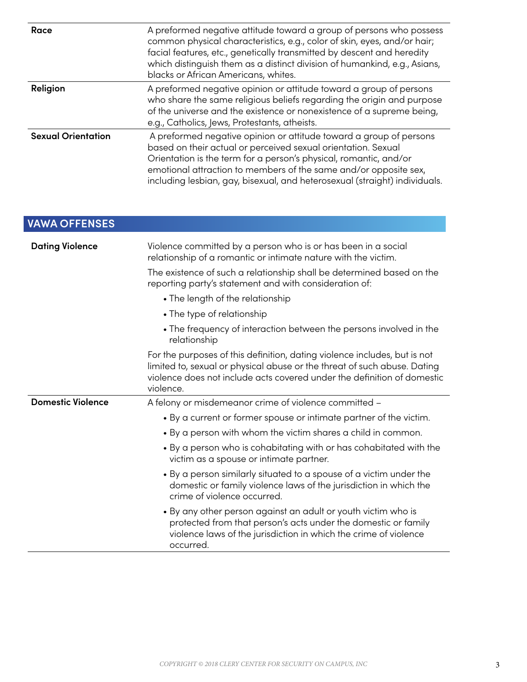| Race                      | A preformed negative attitude toward a group of persons who possess<br>common physical characteristics, e.g., color of skin, eyes, and/or hair;<br>facial features, etc., genetically transmitted by descent and heredity<br>which distinguish them as a distinct division of humankind, e.g., Asians,<br>blacks or African Americans, whites.             |
|---------------------------|------------------------------------------------------------------------------------------------------------------------------------------------------------------------------------------------------------------------------------------------------------------------------------------------------------------------------------------------------------|
| Religion                  | A preformed negative opinion or attitude toward a group of persons<br>who share the same religious beliefs regarding the origin and purpose<br>of the universe and the existence or nonexistence of a supreme being,<br>e.g., Catholics, Jews, Protestants, atheists.                                                                                      |
| <b>Sexual Orientation</b> | A preformed negative opinion or attitude toward a group of persons<br>based on their actual or perceived sexual orientation. Sexual<br>Orientation is the term for a person's physical, romantic, and/or<br>emotional attraction to members of the same and/or opposite sex,<br>including lesbian, gay, bisexual, and heterosexual (straight) individuals. |

| <b>VAWA OFFENSES</b>     |                                                                                                                                                                                                                                               |
|--------------------------|-----------------------------------------------------------------------------------------------------------------------------------------------------------------------------------------------------------------------------------------------|
| <b>Dating Violence</b>   | Violence committed by a person who is or has been in a social<br>relationship of a romantic or intimate nature with the victim.                                                                                                               |
|                          | The existence of such a relationship shall be determined based on the<br>reporting party's statement and with consideration of:                                                                                                               |
|                          | • The length of the relationship                                                                                                                                                                                                              |
|                          | • The type of relationship                                                                                                                                                                                                                    |
|                          | • The frequency of interaction between the persons involved in the<br>relationship                                                                                                                                                            |
|                          | For the purposes of this definition, dating violence includes, but is not<br>limited to, sexual or physical abuse or the threat of such abuse. Dating<br>violence does not include acts covered under the definition of domestic<br>violence. |
| <b>Domestic Violence</b> | A felony or misdemeanor crime of violence committed -                                                                                                                                                                                         |
|                          | • By a current or former spouse or intimate partner of the victim.                                                                                                                                                                            |
|                          | • By a person with whom the victim shares a child in common.                                                                                                                                                                                  |
|                          | • By a person who is cohabitating with or has cohabitated with the<br>victim as a spouse or intimate partner.                                                                                                                                 |
|                          | • By a person similarly situated to a spouse of a victim under the<br>domestic or family violence laws of the jurisdiction in which the<br>crime of violence occurred.                                                                        |
|                          | • By any other person against an adult or youth victim who is<br>protected from that person's acts under the domestic or family<br>violence laws of the jurisdiction in which the crime of violence<br>occurred.                              |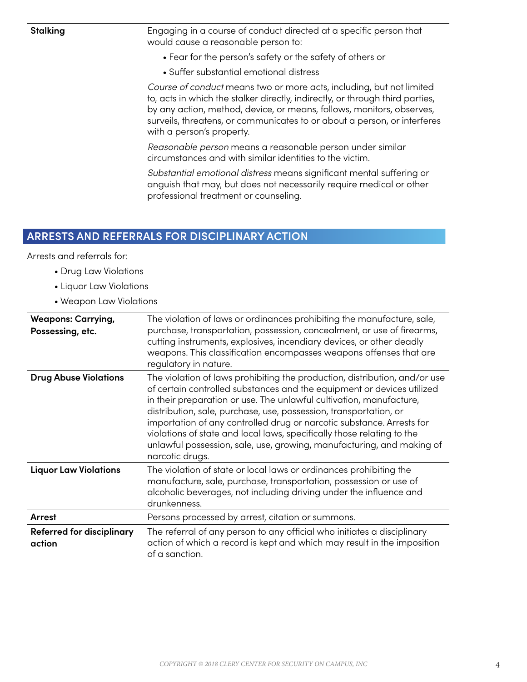**Stalking** Engaging in a course of conduct directed at a specific person that would cause a reasonable person to:

- Fear for the person's safety or the safety of others or
- Suffer substantial emotional distress

*Course of conduct* means two or more acts, including, but not limited to, acts in which the stalker directly, indirectly, or through third parties, by any action, method, device, or means, follows, monitors, observes, surveils, threatens, or communicates to or about a person, or interferes with a person's property.

*Reasonable person* means a reasonable person under similar circumstances and with similar identities to the victim.

*Substantial emotional distress* means significant mental suffering or anguish that may, but does not necessarily require medical or other professional treatment or counseling.

#### **ARRESTS AND REFERRALS FOR DISCIPLINARY ACTION**

Arrests and referrals for:

- Drug Law Violations
- Liquor Law Violations
- Weapon Law Violations

| <b>Weapons: Carrying,</b><br>Possessing, etc. | The violation of laws or ordinances prohibiting the manufacture, sale,<br>purchase, transportation, possession, concealment, or use of firearms,<br>cutting instruments, explosives, incendiary devices, or other deadly<br>weapons. This classification encompasses weapons offenses that are<br>regulatory in nature.                                                                                                                                                                                                                         |
|-----------------------------------------------|-------------------------------------------------------------------------------------------------------------------------------------------------------------------------------------------------------------------------------------------------------------------------------------------------------------------------------------------------------------------------------------------------------------------------------------------------------------------------------------------------------------------------------------------------|
| <b>Drug Abuse Violations</b>                  | The violation of laws prohibiting the production, distribution, and/or use<br>of certain controlled substances and the equipment or devices utilized<br>in their preparation or use. The unlawful cultivation, manufacture,<br>distribution, sale, purchase, use, possession, transportation, or<br>importation of any controlled drug or narcotic substance. Arrests for<br>violations of state and local laws, specifically those relating to the<br>unlawful possession, sale, use, growing, manufacturing, and making of<br>narcotic drugs. |
| <b>Liquor Law Violations</b>                  | The violation of state or local laws or ordinances prohibiting the<br>manufacture, sale, purchase, transportation, possession or use of<br>alcoholic beverages, not including driving under the influence and<br>drunkenness.                                                                                                                                                                                                                                                                                                                   |
| Arrest                                        | Persons processed by arrest, citation or summons.                                                                                                                                                                                                                                                                                                                                                                                                                                                                                               |
| <b>Referred for disciplinary</b><br>action    | The referral of any person to any official who initiates a disciplinary<br>action of which a record is kept and which may result in the imposition<br>of a sanction.                                                                                                                                                                                                                                                                                                                                                                            |